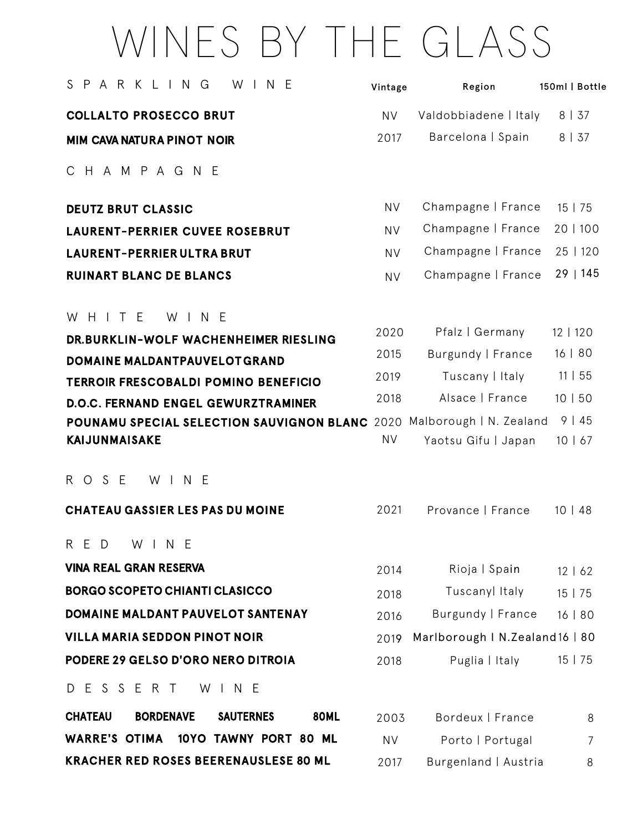## WINES BY THE GLASS

| SPARKLING<br>N E<br>W                                                                          | Vintage   | Region                | 150ml   Bottle    |
|------------------------------------------------------------------------------------------------|-----------|-----------------------|-------------------|
| <b>COLLALTO PROSECCO BRUT</b>                                                                  | <b>NV</b> | Valdobbiadene   Italy | 8   37            |
| <b>MIM CAVA NATURA PINOT NOIR</b>                                                              | 2017      | Barcelona   Spain     | 8   37            |
| C H A M P A G N E                                                                              |           |                       |                   |
| <b>DEUTZ BRUT CLASSIC</b>                                                                      | <b>NV</b> | Champagne   France    | 15   75           |
| <b>LAURENT-PERRIER CUVEE ROSEBRUT</b>                                                          | <b>NV</b> | Champagne   France    | 20   100          |
| <b>LAURENT-PERRIER ULTRA BRUT</b>                                                              | <b>NV</b> | Champagne   France    | 25   120          |
| <b>RUINART BLANC DE BLANCS</b>                                                                 | <b>NV</b> | Champagne   France    | 29   145          |
| WHITE<br>W I N E<br>DR.BURKLIN-WOLF WACHENHEIMER RIESLING                                      | 2020      | Pfalz   Germany       | 12   120          |
| DOMAINE MALDANTPAUVELOTGRAND                                                                   | 2015      | Burgundy   France     | 16   80           |
| <b>TERROIR FRESCOBALDI POMINO BENEFICIO</b>                                                    | 2019      | Tuscany   Italy       | 11   55           |
| <b>D.O.C. FERNAND ENGEL GEWURZTRAMINER</b>                                                     | 2018      | Alsace   France       | 10   50           |
| POUNAMU SPECIAL SELECTION SAUVIGNON BLANC 2020 Malborough   N. Zealand<br><b>KAIJUNMAISAKE</b> | <b>NV</b> | Yaotsu Gifu   Japan   | 9   45<br>10   67 |
| R O S E<br>W I N E                                                                             |           |                       |                   |
| <b>CHATEAU GASSIER LES PAS DU MOINE</b>                                                        | 2021      | Provance   France     | 10   48           |
| RED WINE                                                                                       |           |                       |                   |
| <b>VINA REAL GRAN RESERVA</b>                                                                  | 2014      | Rioja   Spain         | 12   62           |
| <b>BORGO SCOPETO CHIANTI CLASICCO</b>                                                          | 2018      | Tuscanyl Italy        | 15   75           |
| DOMAINE MALDANT PAUVELOT SANTENAY                                                              | 2016      | Burgundy   France     | 16   80           |

2019 Marlborough I N.Zealand16 | 80 2018 Puglia | Italy 15 | 75 VILLA MARIA SEDDON PINOT NOIR PODERE 29 GELSO D'ORO NERO DITROIA

D ESSERT WINE

| <b>CHATEAU</b> | <b>BORDENAVE</b>                             | <b>SAUTERNES</b> | 80ML | 2003 | Bordeux   France     | 8 |
|----------------|----------------------------------------------|------------------|------|------|----------------------|---|
|                | WARRE'S OTIMA 10YO TAWNY PORT 80 ML          |                  |      | NV.  | Porto   Portugal     |   |
|                | <b>KRACHER RED ROSES BEERENAUSLESE 80 ML</b> |                  |      | 2017 | Burgenland   Austria | 8 |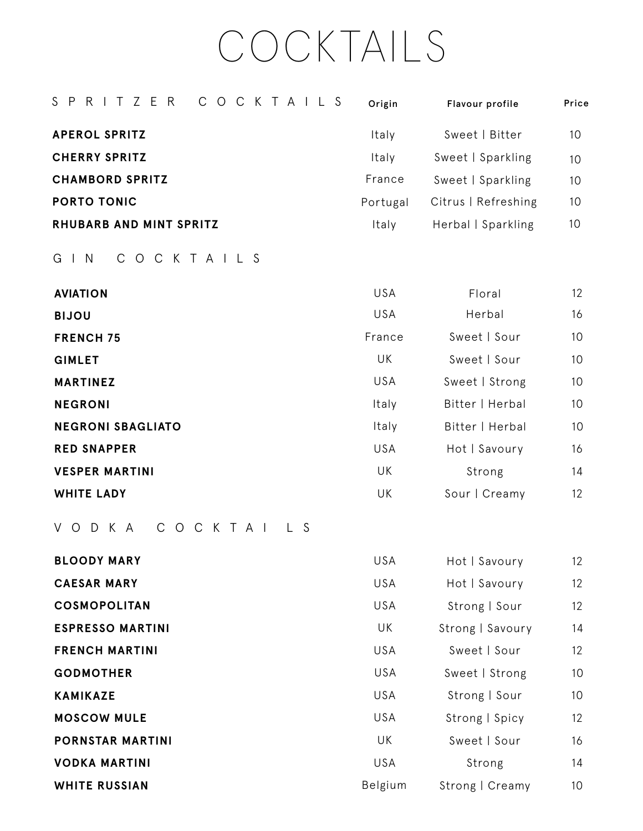## COCKTAILS

| SPRITZER<br>COCKTAILS                  | Origin     | Flavour profile     | Price |
|----------------------------------------|------------|---------------------|-------|
| <b>APEROL SPRITZ</b>                   | Italy      | Sweet   Bitter      | 10    |
| <b>CHERRY SPRITZ</b>                   | Italy      | Sweet   Sparkling   | 10    |
| <b>CHAMBORD SPRITZ</b>                 | France     | Sweet   Sparkling   | 10    |
| <b>PORTO TONIC</b>                     | Portugal   | Citrus   Refreshing | 10    |
| RHUBARB AND MINT SPRITZ                | Italy      | Herbal   Sparkling  | 10    |
| $G \mid N$<br>$\mathsf{C}$<br>OCKTAILS |            |                     |       |
| <b>AVIATION</b>                        | <b>USA</b> | Floral              | 12    |
| <b>BIJOU</b>                           | USA        | Herbal              | 16    |
| <b>FRENCH 75</b>                       | France     | Sweet   Sour        | 10    |
| <b>GIMLET</b>                          | UK         | Sweet   Sour        | 10    |
| <b>MARTINEZ</b>                        | <b>USA</b> | Sweet   Strong      | 10    |
| <b>NEGRONI</b>                         | Italy      | Bitter   Herbal     | 10    |
| <b>NEGRONI SBAGLIATO</b>               | Italy      | Bitter   Herbal     | 10    |
| <b>RED SNAPPER</b>                     | USA        | Hot   Savoury       | 16    |
| <b>VESPER MARTINI</b>                  | UK         | Strong              | 14    |
| <b>WHITE LADY</b>                      | UK         | Sour   Creamy       | 12    |
|                                        |            |                     |       |

VODK A COCK T A I L S

| <b>BLOODY MARY</b>      | <b>USA</b> | Hot   Savoury    | 12 <sup>°</sup> |
|-------------------------|------------|------------------|-----------------|
| <b>CAESAR MARY</b>      | <b>USA</b> | Hot   Savoury    | 12 <sup>°</sup> |
| <b>COSMOPOLITAN</b>     | <b>USA</b> | Strong   Sour    | 12 <sup>°</sup> |
| <b>ESPRESSO MARTINI</b> | UK         | Strong   Savoury | 14              |
| <b>FRENCH MARTINI</b>   | <b>USA</b> | Sweet   Sour     | 12 <sup>°</sup> |
| <b>GODMOTHER</b>        | <b>USA</b> | Sweet   Strong   | 10 <sup>°</sup> |
| <b>KAMIKAZE</b>         | <b>USA</b> | Strong   Sour    | 10              |
| <b>MOSCOW MULE</b>      | <b>USA</b> | Strong   Spicy   | 12 <sup>°</sup> |
| <b>PORNSTAR MARTINI</b> | UK         | Sweet   Sour     | 16              |
| <b>VODKA MARTINI</b>    | <b>USA</b> | Strong           | 14              |
| <b>WHITE RUSSIAN</b>    | Belgium    | Strong   Creamy  | 10              |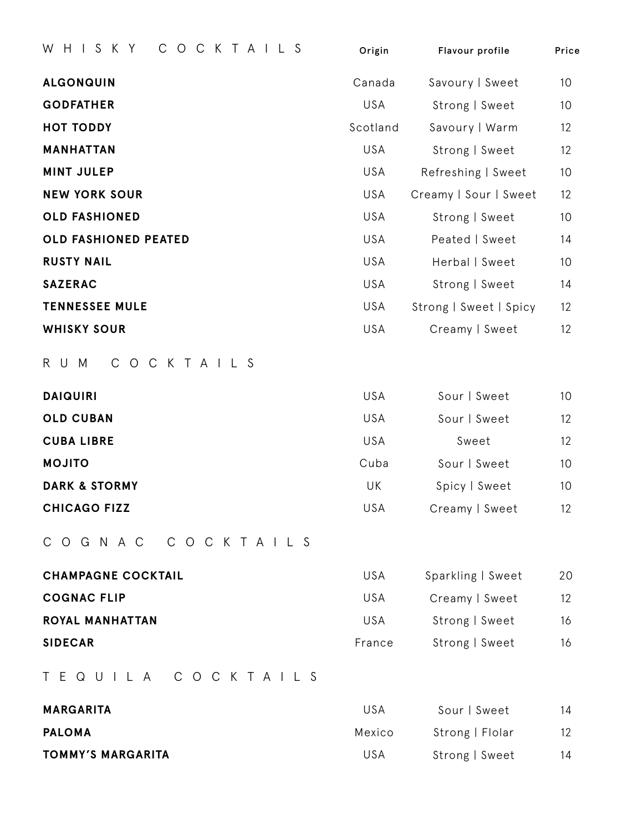| COCKTAILS<br>HISKY<br>W     | Origin     | Flavour profile        | Price |
|-----------------------------|------------|------------------------|-------|
| <b>ALGONQUIN</b>            | Canada     | Savoury   Sweet        | 10    |
| <b>GODFATHER</b>            | USA        | Strong   Sweet         | 10    |
| <b>HOT TODDY</b>            | Scotland   | Savoury   Warm         | 12    |
| <b>MANHATTAN</b>            | USA        | Strong   Sweet         | 12    |
| <b>MINT JULEP</b>           | USA        | Refreshing   Sweet     | 10    |
| <b>NEW YORK SOUR</b>        | USA        | Creamy   Sour   Sweet  | 12    |
| <b>OLD FASHIONED</b>        | USA        | Strong   Sweet         | 10    |
| <b>OLD FASHIONED PEATED</b> | <b>USA</b> | Peated   Sweet         | 14    |
| <b>RUSTY NAIL</b>           | USA        | Herbal   Sweet         | 10    |
| <b>SAZERAC</b>              | <b>USA</b> | Strong   Sweet         | 14    |
| <b>TENNESSEE MULE</b>       | USA        | Strong   Sweet   Spicy | 12    |
| <b>WHISKY SOUR</b>          | USA        | Creamy   Sweet         | 12    |
|                             |            |                        |       |

RUM COCKTAILS

| USA<br>Sour   Sweet<br>10          |
|------------------------------------|
| USA<br>12<br>Sour   Sweet          |
| USA<br>12<br>Sweet                 |
| Cuba<br>10<br>Sour   Sweet         |
| UK<br>Spicy   Sweet<br>10          |
| <b>USA</b><br>12<br>Creamy   Sweet |
|                                    |

COGNAC COCKTAILS

| <b>CHAMPAGNE COCKTAIL</b> | USA    | Sparkling   Sweet | 20 |
|---------------------------|--------|-------------------|----|
| <b>COGNAC FLIP</b>        | USA.   | Creamy   Sweet    | 12 |
| <b>ROYAL MANHATTAN</b>    | USA    | Strong   Sweet    | 16 |
| <b>SIDECAR</b>            | France | Strong   Sweet    | 16 |

TEQUILA COCKTAILS

| <b>MARGARITA</b>         | IJSA   | Sour   Sweet    | 14 |
|--------------------------|--------|-----------------|----|
| <b>PALOMA</b>            | Mexico | Strong   Flolar | 12 |
| <b>TOMMY'S MARGARITA</b> | USA    | Strong   Sweet  | 14 |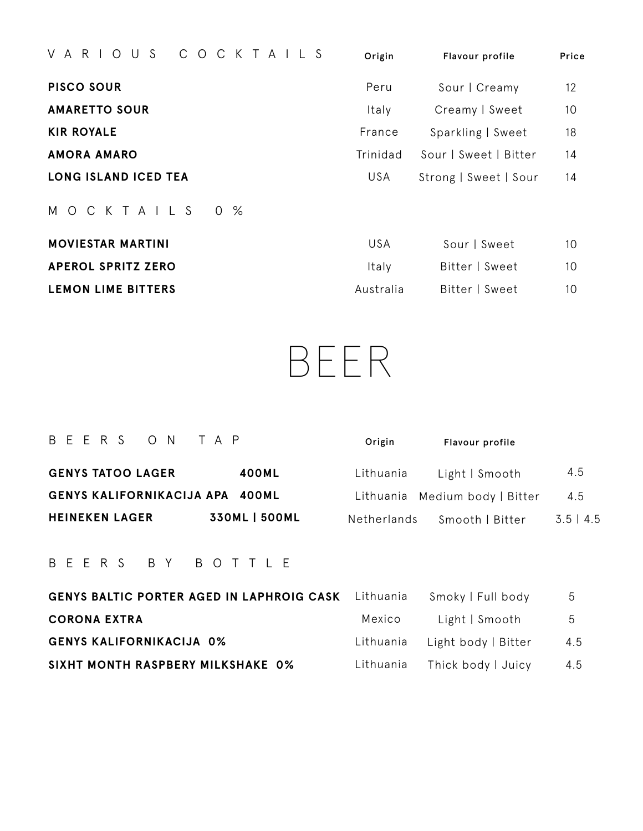| COCKTAILS<br>V A R I O<br>US         | Origin   | Flavour profile       | Price |
|--------------------------------------|----------|-----------------------|-------|
| <b>PISCO SOUR</b>                    | Peru     | Sour   Creamy         | 12    |
| <b>AMARETTO SOUR</b>                 | Italy    | Creamy   Sweet        | 10    |
| <b>KIR ROYALE</b>                    | France   | Sparkling   Sweet     | 18    |
| <b>AMORA AMARO</b>                   | Trinidad | Sour   Sweet   Bitter | 14    |
| <b>LONG ISLAND ICED TEA</b>          | USA      | Strong   Sweet   Sour | 14    |
| M O C K T A I L S<br>$0 \frac{9}{6}$ |          |                       |       |
| <b>MOVIESTAR MARTINI</b>             | USA      | Sour   Sweet          | 10    |

| <b>APEROL SPRITZ ZERO</b> | Italy     | Bitter   Sweet | 10 |
|---------------------------|-----------|----------------|----|
| <b>LEMON LIME BITTERS</b> | Australia | Bitter   Sweet | 10 |

BEER

| BEERS ON TAP                    |                      | Origin      | Flavour profile                |             |
|---------------------------------|----------------------|-------------|--------------------------------|-------------|
| <b>GENYS TATOO LAGER</b>        | 400ML                | Lithuania   | Light   Smooth                 | 4.5         |
| GENYS KALIFORNIKACIJA APA 400ML |                      |             | Lithuania Medium body   Bitter | 4.5         |
| <b>HEINEKEN LAGER</b>           | <b>330ML   500ML</b> | Netherlands | Smooth   Bitter                | $3.5$   4.5 |

## BEERS BY B O T TLE

| <b>GENYS BALTIC PORTER AGED IN LAPHROIG CASK</b> Lithuania |        | Smoky   Full body             | 5   |
|------------------------------------------------------------|--------|-------------------------------|-----|
| <b>CORONA EXTRA</b>                                        | Mexico | Light   Smooth                | - 5 |
| <b>GENYS KALIFORNIKACIJA 0%</b>                            |        | Lithuania Light body   Bitter | 4.5 |
| SIXHT MONTH RASPBERY MILKSHAKE 0%                          |        | Lithuania Thick body   Juicy  | 4.5 |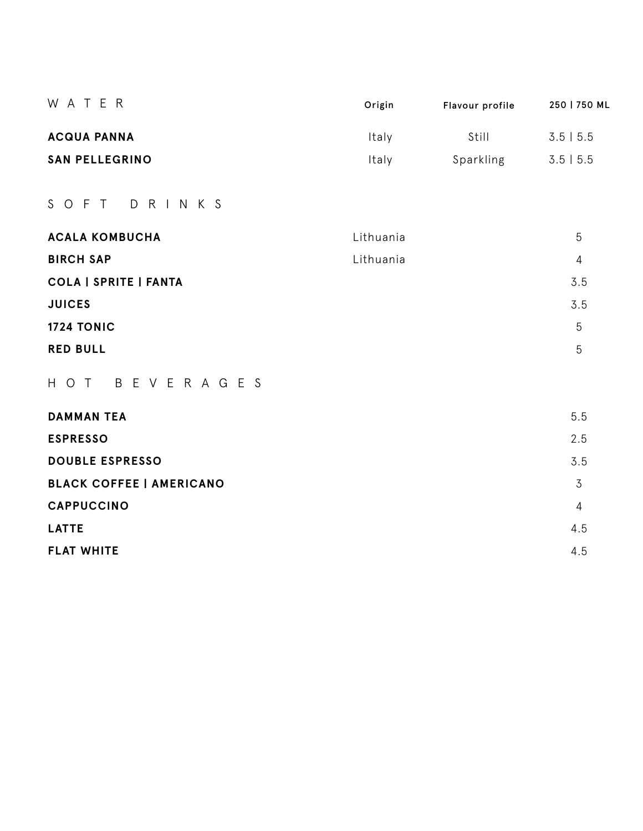| W A T E R                       | Origin    | Flavour profile | 250   750 ML   |
|---------------------------------|-----------|-----------------|----------------|
| <b>ACQUA PANNA</b>              | Italy     | Still           | $3.5$   5.5    |
| <b>SAN PELLEGRINO</b>           | Italy     | Sparkling       | $3.5$   5.5    |
| S O F T D R I N K S             |           |                 |                |
| <b>ACALA KOMBUCHA</b>           | Lithuania |                 | 5              |
| <b>BIRCH SAP</b>                | Lithuania |                 | $\overline{4}$ |
| <b>COLA   SPRITE   FANTA</b>    |           |                 | 3.5            |
| <b>JUICES</b>                   |           |                 | 3.5            |
| <b>1724 TONIC</b>               |           |                 | 5              |
| <b>RED BULL</b>                 |           |                 | 5              |
| HOT BEVERAGES                   |           |                 |                |
| <b>DAMMAN TEA</b>               |           |                 | 5.5            |
| <b>ESPRESSO</b>                 |           |                 | 2.5            |
| <b>DOUBLE ESPRESSO</b>          |           |                 | 3.5            |
| <b>BLACK COFFEE   AMERICANO</b> |           |                 | $\overline{3}$ |
| <b>CAPPUCCINO</b>               |           |                 | $\overline{4}$ |
| <b>LATTE</b>                    |           |                 | 4.5            |
| <b>FLAT WHITE</b>               |           |                 | 4.5            |